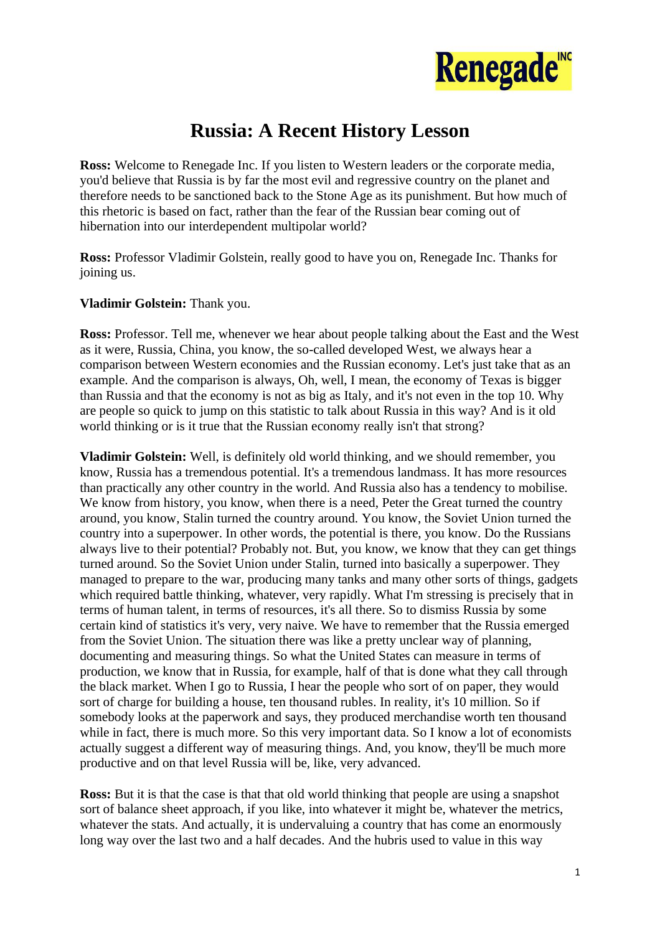

## **Russia: A Recent History Lesson**

**Ross:** Welcome to Renegade Inc. If you listen to Western leaders or the corporate media, you'd believe that Russia is by far the most evil and regressive country on the planet and therefore needs to be sanctioned back to the Stone Age as its punishment. But how much of this rhetoric is based on fact, rather than the fear of the Russian bear coming out of hibernation into our interdependent multipolar world?

**Ross:** Professor Vladimir Golstein, really good to have you on, Renegade Inc. Thanks for joining us.

## **Vladimir Golstein:** Thank you.

**Ross:** Professor. Tell me, whenever we hear about people talking about the East and the West as it were, Russia, China, you know, the so-called developed West, we always hear a comparison between Western economies and the Russian economy. Let's just take that as an example. And the comparison is always, Oh, well, I mean, the economy of Texas is bigger than Russia and that the economy is not as big as Italy, and it's not even in the top 10. Why are people so quick to jump on this statistic to talk about Russia in this way? And is it old world thinking or is it true that the Russian economy really isn't that strong?

**Vladimir Golstein:** Well, is definitely old world thinking, and we should remember, you know, Russia has a tremendous potential. It's a tremendous landmass. It has more resources than practically any other country in the world. And Russia also has a tendency to mobilise. We know from history, you know, when there is a need, Peter the Great turned the country around, you know, Stalin turned the country around. You know, the Soviet Union turned the country into a superpower. In other words, the potential is there, you know. Do the Russians always live to their potential? Probably not. But, you know, we know that they can get things turned around. So the Soviet Union under Stalin, turned into basically a superpower. They managed to prepare to the war, producing many tanks and many other sorts of things, gadgets which required battle thinking, whatever, very rapidly. What I'm stressing is precisely that in terms of human talent, in terms of resources, it's all there. So to dismiss Russia by some certain kind of statistics it's very, very naive. We have to remember that the Russia emerged from the Soviet Union. The situation there was like a pretty unclear way of planning, documenting and measuring things. So what the United States can measure in terms of production, we know that in Russia, for example, half of that is done what they call through the black market. When I go to Russia, I hear the people who sort of on paper, they would sort of charge for building a house, ten thousand rubles. In reality, it's 10 million. So if somebody looks at the paperwork and says, they produced merchandise worth ten thousand while in fact, there is much more. So this very important data. So I know a lot of economists actually suggest a different way of measuring things. And, you know, they'll be much more productive and on that level Russia will be, like, very advanced.

**Ross:** But it is that the case is that that old world thinking that people are using a snapshot sort of balance sheet approach, if you like, into whatever it might be, whatever the metrics, whatever the stats. And actually, it is undervaluing a country that has come an enormously long way over the last two and a half decades. And the hubris used to value in this way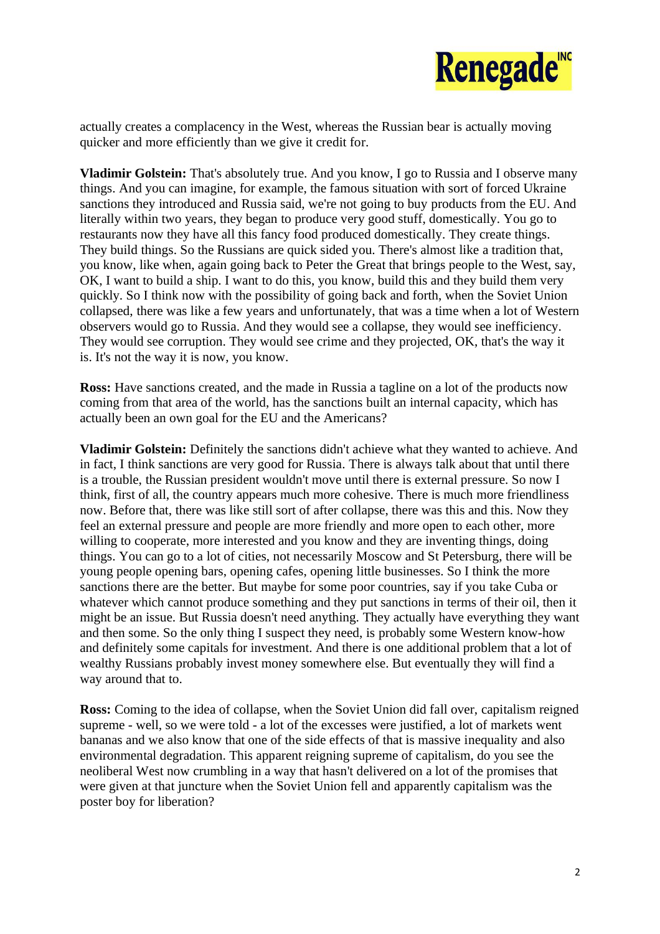

actually creates a complacency in the West, whereas the Russian bear is actually moving quicker and more efficiently than we give it credit for.

**Vladimir Golstein:** That's absolutely true. And you know, I go to Russia and I observe many things. And you can imagine, for example, the famous situation with sort of forced Ukraine sanctions they introduced and Russia said, we're not going to buy products from the EU. And literally within two years, they began to produce very good stuff, domestically. You go to restaurants now they have all this fancy food produced domestically. They create things. They build things. So the Russians are quick sided you. There's almost like a tradition that, you know, like when, again going back to Peter the Great that brings people to the West, say, OK, I want to build a ship. I want to do this, you know, build this and they build them very quickly. So I think now with the possibility of going back and forth, when the Soviet Union collapsed, there was like a few years and unfortunately, that was a time when a lot of Western observers would go to Russia. And they would see a collapse, they would see inefficiency. They would see corruption. They would see crime and they projected, OK, that's the way it is. It's not the way it is now, you know.

**Ross:** Have sanctions created, and the made in Russia a tagline on a lot of the products now coming from that area of the world, has the sanctions built an internal capacity, which has actually been an own goal for the EU and the Americans?

**Vladimir Golstein:** Definitely the sanctions didn't achieve what they wanted to achieve. And in fact, I think sanctions are very good for Russia. There is always talk about that until there is a trouble, the Russian president wouldn't move until there is external pressure. So now I think, first of all, the country appears much more cohesive. There is much more friendliness now. Before that, there was like still sort of after collapse, there was this and this. Now they feel an external pressure and people are more friendly and more open to each other, more willing to cooperate, more interested and you know and they are inventing things, doing things. You can go to a lot of cities, not necessarily Moscow and St Petersburg, there will be young people opening bars, opening cafes, opening little businesses. So I think the more sanctions there are the better. But maybe for some poor countries, say if you take Cuba or whatever which cannot produce something and they put sanctions in terms of their oil, then it might be an issue. But Russia doesn't need anything. They actually have everything they want and then some. So the only thing I suspect they need, is probably some Western know-how and definitely some capitals for investment. And there is one additional problem that a lot of wealthy Russians probably invest money somewhere else. But eventually they will find a way around that to.

**Ross:** Coming to the idea of collapse, when the Soviet Union did fall over, capitalism reigned supreme - well, so we were told - a lot of the excesses were justified, a lot of markets went bananas and we also know that one of the side effects of that is massive inequality and also environmental degradation. This apparent reigning supreme of capitalism, do you see the neoliberal West now crumbling in a way that hasn't delivered on a lot of the promises that were given at that juncture when the Soviet Union fell and apparently capitalism was the poster boy for liberation?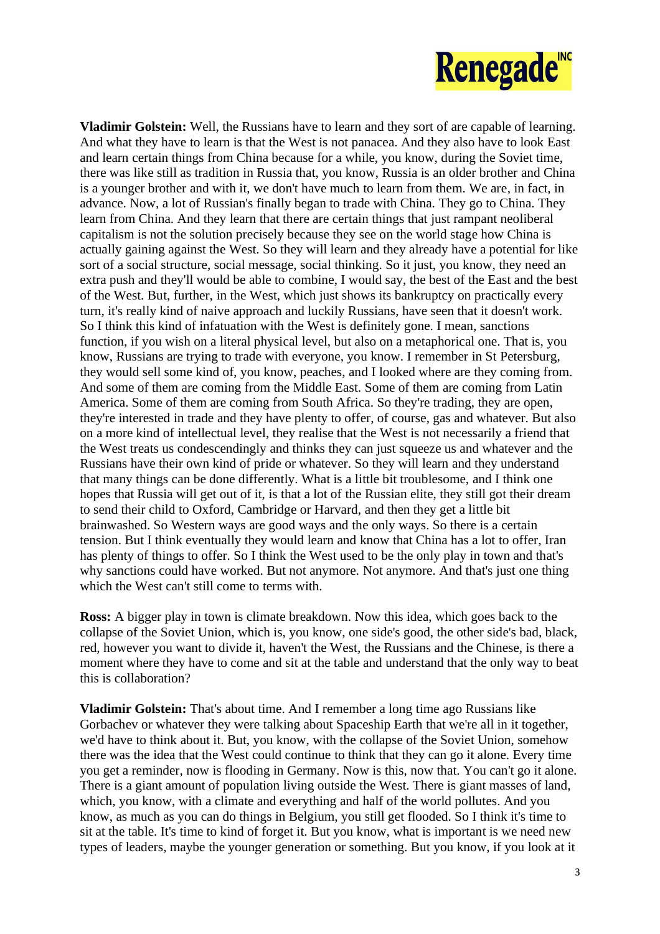

**Vladimir Golstein:** Well, the Russians have to learn and they sort of are capable of learning. And what they have to learn is that the West is not panacea. And they also have to look East and learn certain things from China because for a while, you know, during the Soviet time, there was like still as tradition in Russia that, you know, Russia is an older brother and China is a younger brother and with it, we don't have much to learn from them. We are, in fact, in advance. Now, a lot of Russian's finally began to trade with China. They go to China. They learn from China. And they learn that there are certain things that just rampant neoliberal capitalism is not the solution precisely because they see on the world stage how China is actually gaining against the West. So they will learn and they already have a potential for like sort of a social structure, social message, social thinking. So it just, you know, they need an extra push and they'll would be able to combine, I would say, the best of the East and the best of the West. But, further, in the West, which just shows its bankruptcy on practically every turn, it's really kind of naive approach and luckily Russians, have seen that it doesn't work. So I think this kind of infatuation with the West is definitely gone. I mean, sanctions function, if you wish on a literal physical level, but also on a metaphorical one. That is, you know, Russians are trying to trade with everyone, you know. I remember in St Petersburg, they would sell some kind of, you know, peaches, and I looked where are they coming from. And some of them are coming from the Middle East. Some of them are coming from Latin America. Some of them are coming from South Africa. So they're trading, they are open, they're interested in trade and they have plenty to offer, of course, gas and whatever. But also on a more kind of intellectual level, they realise that the West is not necessarily a friend that the West treats us condescendingly and thinks they can just squeeze us and whatever and the Russians have their own kind of pride or whatever. So they will learn and they understand that many things can be done differently. What is a little bit troublesome, and I think one hopes that Russia will get out of it, is that a lot of the Russian elite, they still got their dream to send their child to Oxford, Cambridge or Harvard, and then they get a little bit brainwashed. So Western ways are good ways and the only ways. So there is a certain tension. But I think eventually they would learn and know that China has a lot to offer, Iran has plenty of things to offer. So I think the West used to be the only play in town and that's why sanctions could have worked. But not anymore. Not anymore. And that's just one thing which the West can't still come to terms with.

**Ross:** A bigger play in town is climate breakdown. Now this idea, which goes back to the collapse of the Soviet Union, which is, you know, one side's good, the other side's bad, black, red, however you want to divide it, haven't the West, the Russians and the Chinese, is there a moment where they have to come and sit at the table and understand that the only way to beat this is collaboration?

**Vladimir Golstein:** That's about time. And I remember a long time ago Russians like Gorbachev or whatever they were talking about Spaceship Earth that we're all in it together, we'd have to think about it. But, you know, with the collapse of the Soviet Union, somehow there was the idea that the West could continue to think that they can go it alone. Every time you get a reminder, now is flooding in Germany. Now is this, now that. You can't go it alone. There is a giant amount of population living outside the West. There is giant masses of land, which, you know, with a climate and everything and half of the world pollutes. And you know, as much as you can do things in Belgium, you still get flooded. So I think it's time to sit at the table. It's time to kind of forget it. But you know, what is important is we need new types of leaders, maybe the younger generation or something. But you know, if you look at it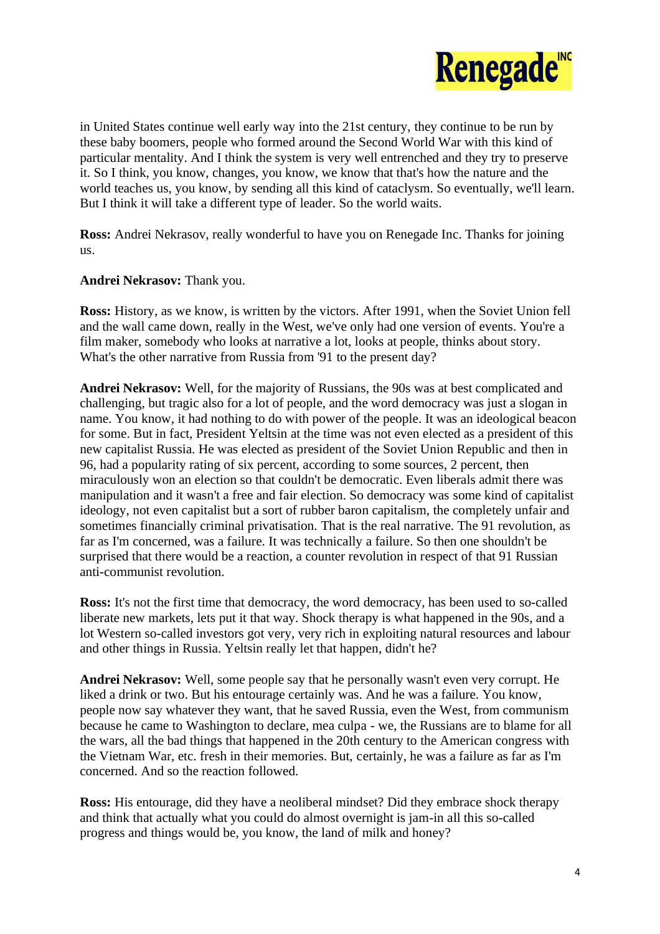

in United States continue well early way into the 21st century, they continue to be run by these baby boomers, people who formed around the Second World War with this kind of particular mentality. And I think the system is very well entrenched and they try to preserve it. So I think, you know, changes, you know, we know that that's how the nature and the world teaches us, you know, by sending all this kind of cataclysm. So eventually, we'll learn. But I think it will take a different type of leader. So the world waits.

**Ross:** Andrei Nekrasov, really wonderful to have you on Renegade Inc. Thanks for joining us.

**Andrei Nekrasov:** Thank you.

**Ross:** History, as we know, is written by the victors. After 1991, when the Soviet Union fell and the wall came down, really in the West, we've only had one version of events. You're a film maker, somebody who looks at narrative a lot, looks at people, thinks about story. What's the other narrative from Russia from '91 to the present day?

**Andrei Nekrasov:** Well, for the majority of Russians, the 90s was at best complicated and challenging, but tragic also for a lot of people, and the word democracy was just a slogan in name. You know, it had nothing to do with power of the people. It was an ideological beacon for some. But in fact, President Yeltsin at the time was not even elected as a president of this new capitalist Russia. He was elected as president of the Soviet Union Republic and then in 96, had a popularity rating of six percent, according to some sources, 2 percent, then miraculously won an election so that couldn't be democratic. Even liberals admit there was manipulation and it wasn't a free and fair election. So democracy was some kind of capitalist ideology, not even capitalist but a sort of rubber baron capitalism, the completely unfair and sometimes financially criminal privatisation. That is the real narrative. The 91 revolution, as far as I'm concerned, was a failure. It was technically a failure. So then one shouldn't be surprised that there would be a reaction, a counter revolution in respect of that 91 Russian anti-communist revolution.

**Ross:** It's not the first time that democracy, the word democracy, has been used to so-called liberate new markets, lets put it that way. Shock therapy is what happened in the 90s, and a lot Western so-called investors got very, very rich in exploiting natural resources and labour and other things in Russia. Yeltsin really let that happen, didn't he?

**Andrei Nekrasov:** Well, some people say that he personally wasn't even very corrupt. He liked a drink or two. But his entourage certainly was. And he was a failure. You know, people now say whatever they want, that he saved Russia, even the West, from communism because he came to Washington to declare, mea culpa - we, the Russians are to blame for all the wars, all the bad things that happened in the 20th century to the American congress with the Vietnam War, etc. fresh in their memories. But, certainly, he was a failure as far as I'm concerned. And so the reaction followed.

**Ross:** His entourage, did they have a neoliberal mindset? Did they embrace shock therapy and think that actually what you could do almost overnight is jam-in all this so-called progress and things would be, you know, the land of milk and honey?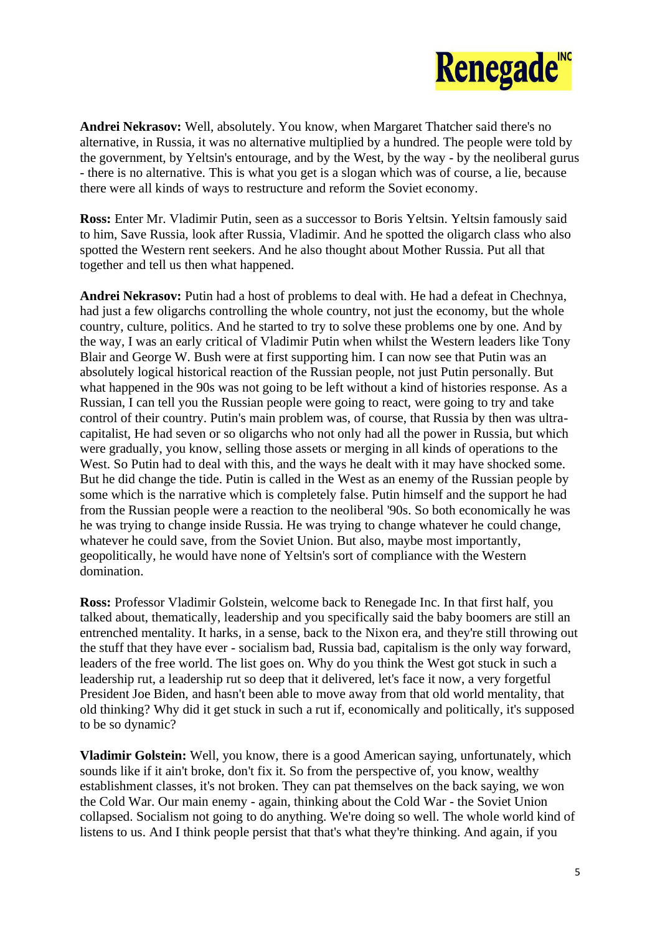

**Andrei Nekrasov:** Well, absolutely. You know, when Margaret Thatcher said there's no alternative, in Russia, it was no alternative multiplied by a hundred. The people were told by the government, by Yeltsin's entourage, and by the West, by the way - by the neoliberal gurus - there is no alternative. This is what you get is a slogan which was of course, a lie, because there were all kinds of ways to restructure and reform the Soviet economy.

**Ross:** Enter Mr. Vladimir Putin, seen as a successor to Boris Yeltsin. Yeltsin famously said to him, Save Russia, look after Russia, Vladimir. And he spotted the oligarch class who also spotted the Western rent seekers. And he also thought about Mother Russia. Put all that together and tell us then what happened.

**Andrei Nekrasov:** Putin had a host of problems to deal with. He had a defeat in Chechnya, had just a few oligarchs controlling the whole country, not just the economy, but the whole country, culture, politics. And he started to try to solve these problems one by one. And by the way, I was an early critical of Vladimir Putin when whilst the Western leaders like Tony Blair and George W. Bush were at first supporting him. I can now see that Putin was an absolutely logical historical reaction of the Russian people, not just Putin personally. But what happened in the 90s was not going to be left without a kind of histories response. As a Russian, I can tell you the Russian people were going to react, were going to try and take control of their country. Putin's main problem was, of course, that Russia by then was ultracapitalist, He had seven or so oligarchs who not only had all the power in Russia, but which were gradually, you know, selling those assets or merging in all kinds of operations to the West. So Putin had to deal with this, and the ways he dealt with it may have shocked some. But he did change the tide. Putin is called in the West as an enemy of the Russian people by some which is the narrative which is completely false. Putin himself and the support he had from the Russian people were a reaction to the neoliberal '90s. So both economically he was he was trying to change inside Russia. He was trying to change whatever he could change, whatever he could save, from the Soviet Union. But also, maybe most importantly, geopolitically, he would have none of Yeltsin's sort of compliance with the Western domination.

**Ross:** Professor Vladimir Golstein, welcome back to Renegade Inc. In that first half, you talked about, thematically, leadership and you specifically said the baby boomers are still an entrenched mentality. It harks, in a sense, back to the Nixon era, and they're still throwing out the stuff that they have ever - socialism bad, Russia bad, capitalism is the only way forward, leaders of the free world. The list goes on. Why do you think the West got stuck in such a leadership rut, a leadership rut so deep that it delivered, let's face it now, a very forgetful President Joe Biden, and hasn't been able to move away from that old world mentality, that old thinking? Why did it get stuck in such a rut if, economically and politically, it's supposed to be so dynamic?

**Vladimir Golstein:** Well, you know, there is a good American saying, unfortunately, which sounds like if it ain't broke, don't fix it. So from the perspective of, you know, wealthy establishment classes, it's not broken. They can pat themselves on the back saying, we won the Cold War. Our main enemy - again, thinking about the Cold War - the Soviet Union collapsed. Socialism not going to do anything. We're doing so well. The whole world kind of listens to us. And I think people persist that that's what they're thinking. And again, if you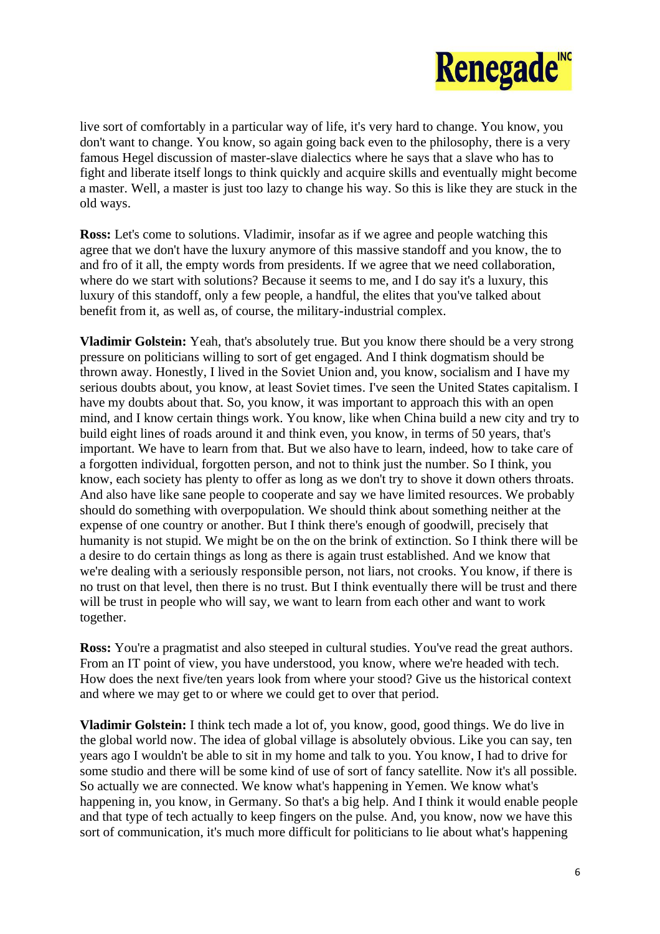

live sort of comfortably in a particular way of life, it's very hard to change. You know, you don't want to change. You know, so again going back even to the philosophy, there is a very famous Hegel discussion of master-slave dialectics where he says that a slave who has to fight and liberate itself longs to think quickly and acquire skills and eventually might become a master. Well, a master is just too lazy to change his way. So this is like they are stuck in the old ways.

**Ross:** Let's come to solutions. Vladimir, insofar as if we agree and people watching this agree that we don't have the luxury anymore of this massive standoff and you know, the to and fro of it all, the empty words from presidents. If we agree that we need collaboration, where do we start with solutions? Because it seems to me, and I do say it's a luxury, this luxury of this standoff, only a few people, a handful, the elites that you've talked about benefit from it, as well as, of course, the military-industrial complex.

**Vladimir Golstein:** Yeah, that's absolutely true. But you know there should be a very strong pressure on politicians willing to sort of get engaged. And I think dogmatism should be thrown away. Honestly, I lived in the Soviet Union and, you know, socialism and I have my serious doubts about, you know, at least Soviet times. I've seen the United States capitalism. I have my doubts about that. So, you know, it was important to approach this with an open mind, and I know certain things work. You know, like when China build a new city and try to build eight lines of roads around it and think even, you know, in terms of 50 years, that's important. We have to learn from that. But we also have to learn, indeed, how to take care of a forgotten individual, forgotten person, and not to think just the number. So I think, you know, each society has plenty to offer as long as we don't try to shove it down others throats. And also have like sane people to cooperate and say we have limited resources. We probably should do something with overpopulation. We should think about something neither at the expense of one country or another. But I think there's enough of goodwill, precisely that humanity is not stupid. We might be on the on the brink of extinction. So I think there will be a desire to do certain things as long as there is again trust established. And we know that we're dealing with a seriously responsible person, not liars, not crooks. You know, if there is no trust on that level, then there is no trust. But I think eventually there will be trust and there will be trust in people who will say, we want to learn from each other and want to work together.

**Ross:** You're a pragmatist and also steeped in cultural studies. You've read the great authors. From an IT point of view, you have understood, you know, where we're headed with tech. How does the next five/ten years look from where your stood? Give us the historical context and where we may get to or where we could get to over that period.

**Vladimir Golstein:** I think tech made a lot of, you know, good, good things. We do live in the global world now. The idea of global village is absolutely obvious. Like you can say, ten years ago I wouldn't be able to sit in my home and talk to you. You know, I had to drive for some studio and there will be some kind of use of sort of fancy satellite. Now it's all possible. So actually we are connected. We know what's happening in Yemen. We know what's happening in, you know, in Germany. So that's a big help. And I think it would enable people and that type of tech actually to keep fingers on the pulse. And, you know, now we have this sort of communication, it's much more difficult for politicians to lie about what's happening